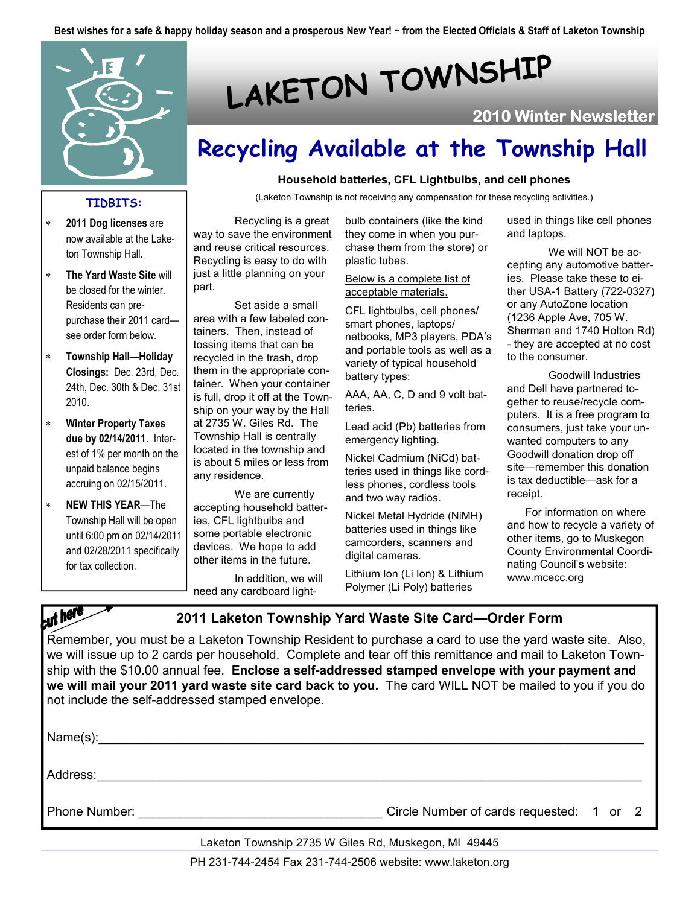Best wishes for a safe & happy holiday season and a prosperous New Year! ~ from the Elected Officials & Staff of Laketon Township



#### TIDBITS:

- 2011 Dog licenses are now available at the Laketon Township Hall.
- The Yard Waste Site will be closed for the winter. Residents can prepurchase their 2011 card see order form below.
- ∗ Township Hall—Holiday Closings: Dec. 23rd, Dec. 24th, Dec. 30th & Dec. 31st 2010.
- ∗ Winter Property Taxes due by 02/14/2011. Interest of 1% per month on the unpaid balance begins accruing on 02/15/2011.
- ∗ NEW THIS YEAR—The Township Hall will be open until 6:00 pm on 02/14/2011 and 02/28/2011 specifically for tax collection.

# LAKETON TOWNSHIP

## 2010 Winter Newsletter

# Recycling Available at the Township Hall

#### Household batteries, CFL Lightbulbs, and cell phones

(Laketon Township is not receiving any compensation for these recycling activities.)

 Recycling is a great way to save the environment and reuse critical resources. Recycling is easy to do with just a little planning on your part.

 Set aside a small area with a few labeled containers. Then, instead of tossing items that can be recycled in the trash, drop them in the appropriate container. When your container is full, drop it off at the Township on your way by the Hall at 2735 W. Giles Rd. The Township Hall is centrally located in the township and is about 5 miles or less from any residence.

 We are currently accepting household batteries, CFL lightbulbs and some portable electronic devices. We hope to add other items in the future.

 In addition, we will need any cardboard light-

bulb containers (like the kind they come in when you purchase them from the store) or plastic tubes.

#### Below is a complete list of acceptable materials.

CFL lightbulbs, cell phones/ smart phones, laptops/ netbooks, MP3 players, PDA's and portable tools as well as a variety of typical household battery types:

AAA, AA, C, D and 9 volt batteries.

Lead acid (Pb) batteries from emergency lighting.

Nickel Cadmium (NiCd) batteries used in things like cordless phones, cordless tools and two way radios.

Nickel Metal Hydride (NiMH) batteries used in things like camcorders, scanners and digital cameras.

Lithium Ion (Li Ion) & Lithium Polymer (Li Poly) batteries

used in things like cell phones and laptops.

 We will NOT be accepting any automotive batteries. Please take these to either USA-1 Battery (722-0327) or any AutoZone location (1236 Apple Ave, 705 W. Sherman and 1740 Holton Rd) - they are accepted at no cost to the consumer.

 Goodwill Industries and Dell have partnered together to reuse/recycle computers. It is a free program to consumers, just take your unwanted computers to any Goodwill donation drop off site—remember this donation is tax deductible—ask for a receipt.

 For information on where and how to recycle a variety of other items, go to Muskegon County Environmental Coordinating Council's website: www.mcecc.org

cut here

2011 Laketon Township Yard Waste Site Card—Order Form

Remember, you must be a Laketon Township Resident to purchase a card to use the yard waste site. Also, we will issue up to 2 cards per household. Complete and tear off this remittance and mail to Laketon Township with the \$10.00 annual fee. Enclose a self-addressed stamped envelope with your payment and we will mail your 2011 yard waste site card back to you. The card WILL NOT be mailed to you if you do not include the self-addressed stamped envelope.

Name(s):\_\_\_\_\_\_\_\_\_\_\_\_\_\_\_\_\_\_\_\_\_\_\_\_\_\_\_\_\_\_\_\_\_\_\_\_\_\_\_\_\_\_\_\_\_\_\_\_\_\_\_\_\_\_\_\_\_\_\_\_\_\_\_\_\_\_\_\_\_\_\_\_\_\_\_\_\_\_

Address: with the contract of the contract of the contract of the contract of the contract of the contract of the contract of the contract of the contract of the contract of the contract of the contract of the contract of

Phone Number:  $\Box$ 

Laketon Township 2735 W Giles Rd, Muskegon, MI 49445